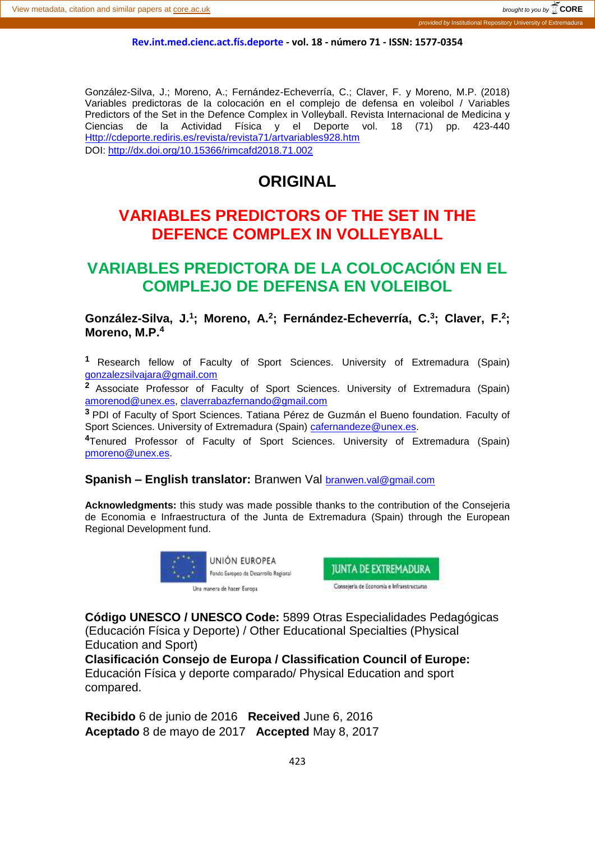#### **Rev.int.med.cienc.act.fís.deporte - vol. 18 - número 71 - ISSN: 1577-0354**

González-Silva, J.; Moreno, A.; Fernández-Echeverría, C.; Claver, F. y Moreno, M.P. (2018) Variables predictoras de la colocación en el complejo de defensa en voleibol / Variables Predictors of the Set in the Defence Complex in Volleyball. Revista Internacional de Medicina y Ciencias de la Actividad Física y el Deporte vol. 18 (71) pp. 423-440 [Http://cdeporte.rediris.es/revista/revista71/artvariables928.htm](http://cdeporte.rediris.es/revista/revista71/artvariables928.htm) DOI: http://dx.doi.org/10.15366/rimcafd2018.71.002

# **ORIGINAL**

# **VARIABLES PREDICTORS OF THE SET IN THE DEFENCE COMPLEX IN VOLLEYBALL**

# **VARIABLES PREDICTORA DE LA COLOCACIÓN EN EL COMPLEJO DE DEFENSA EN VOLEIBOL**

González-Silva, J.<sup>1</sup>; Moreno, A.<sup>2</sup>; Fernández-Echeverría, C.<sup>3</sup>; Claver, F.<sup>2</sup>; **Moreno, M.P. 4**

**<sup>1</sup>** Research fellow of Faculty of Sport Sciences. University of Extremadura (Spain) [gonzalezsilvajara@gmail.com](mailto:gonzalezsilvajara@gmail.com)

**<sup>2</sup>**Associate Professor of Faculty of Sport Sciences. University of Extremadura (Spain) [amorenod@unex.es,](mailto:amorenod@unex.es) [claverrabazfernando@gmail.com](mailto:claverrabazfernando@gmail.com)

**<sup>3</sup>**PDI of Faculty of Sport Sciences. Tatiana Pérez de Guzmán el Bueno foundation. Faculty of Sport Sciences. University of Extremadura (Spain) [cafernandeze@unex.es.](mailto:cafernandeze@unex.es)

**<sup>4</sup>**Tenured Professor of Faculty of Sport Sciences. University of Extremadura (Spain) [pmoreno@unex.es.](mailto:pmoreno@unex.es)

**Spanish – English translator:** Branwen Val [branwen.val@gmail.com](mailto:branwen.val@gmail.com)

**Acknowledgments:** this study was made possible thanks to the contribution of the Consejeria de Economia e Infraestructura of the Junta de Extremadura (Spain) through the European Regional Development fund.





**Código UNESCO / UNESCO Code:** 5899 Otras Especialidades Pedagógicas (Educación Física y Deporte) / Other Educational Specialties (Physical Education and Sport)

**Clasificación Consejo de Europa / Classification Council of Europe:**  Educación Física y deporte comparado/ Physical Education and sport compared.

**Recibido** 6 de junio de 2016 **Received** June 6, 2016 **Aceptado** 8 de mayo de 2017 **Accepted** May 8, 2017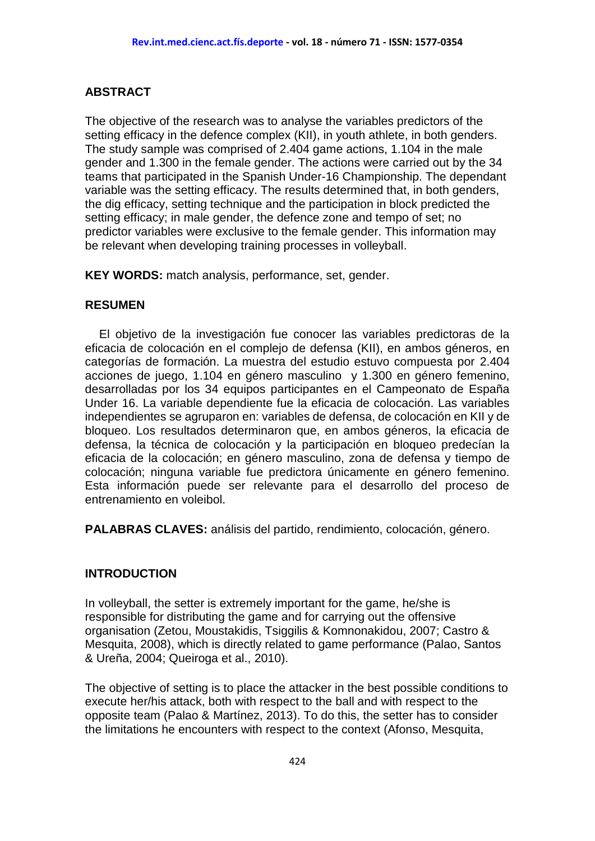### **ABSTRACT**

The objective of the research was to analyse the variables predictors of the setting efficacy in the defence complex (KII), in youth athlete, in both genders. The study sample was comprised of 2.404 game actions, 1.104 in the male gender and 1.300 in the female gender. The actions were carried out by the 34 teams that participated in the Spanish Under-16 Championship. The dependant variable was the setting efficacy. The results determined that, in both genders, the dig efficacy, setting technique and the participation in block predicted the setting efficacy; in male gender, the defence zone and tempo of set; no predictor variables were exclusive to the female gender. This information may be relevant when developing training processes in volleyball.

**KEY WORDS:** match analysis, performance, set, gender.

#### **RESUMEN**

El objetivo de la investigación fue conocer las variables predictoras de la eficacia de colocación en el complejo de defensa (KII), en ambos géneros, en categorías de formación. La muestra del estudio estuvo compuesta por 2.404 acciones de juego, 1.104 en género masculino y 1.300 en género femenino, desarrolladas por los 34 equipos participantes en el Campeonato de España Under 16. La variable dependiente fue la eficacia de colocación. Las variables independientes se agruparon en: variables de defensa, de colocación en KII y de bloqueo. Los resultados determinaron que, en ambos géneros, la eficacia de defensa, la técnica de colocación y la participación en bloqueo predecían la eficacia de la colocación; en género masculino, zona de defensa y tiempo de colocación; ninguna variable fue predictora únicamente en género femenino. Esta información puede ser relevante para el desarrollo del proceso de entrenamiento en voleibol.

**PALABRAS CLAVES:** análisis del partido, rendimiento, colocación, género.

### **INTRODUCTION**

In volleyball, the setter is extremely important for the game, he/she is responsible for distributing the game and for carrying out the offensive organisation (Zetou, Moustakidis, Tsiggilis & Komnonakidou, 2007; Castro & Mesquita, 2008), which is directly related to game performance (Palao, Santos & Ureña, 2004; Queiroga et al., 2010).

The objective of setting is to place the attacker in the best possible conditions to execute her/his attack, both with respect to the ball and with respect to the opposite team (Palao & Martínez, 2013). To do this, the setter has to consider the limitations he encounters with respect to the context (Afonso, Mesquita,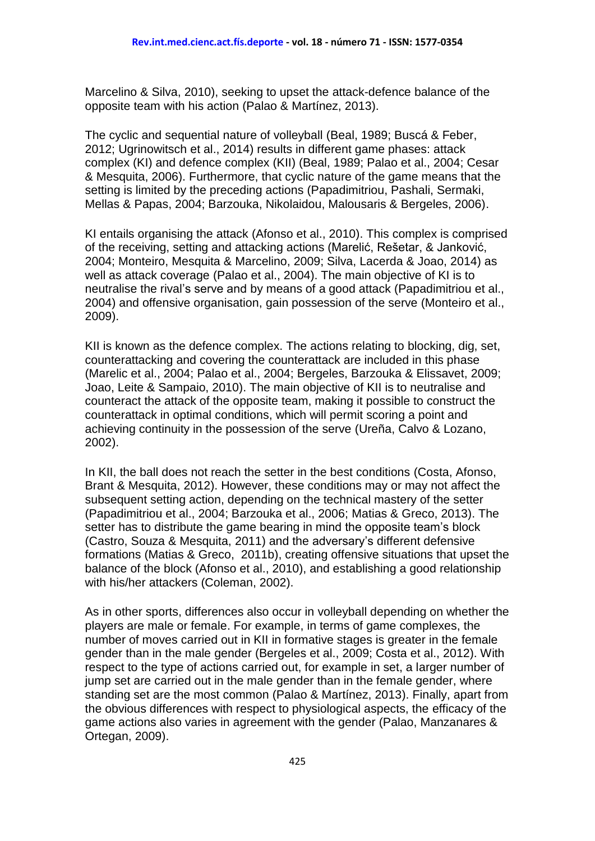Marcelino & Silva, 2010), seeking to upset the attack-defence balance of the opposite team with his action (Palao & Martínez, 2013).

The cyclic and sequential nature of volleyball (Beal, 1989; Buscá & Feber, 2012; Ugrinowitsch et al., 2014) results in different game phases: attack complex (KI) and defence complex (KII) (Beal, 1989; Palao et al., 2004; Cesar & Mesquita, 2006). Furthermore, that cyclic nature of the game means that the setting is limited by the preceding actions (Papadimitriou, Pashali, Sermaki, Mellas & Papas, 2004; Barzouka, Nikolaidou, Malousaris & Bergeles, 2006).

KI entails organising the attack (Afonso et al., 2010). This complex is comprised of the receiving, setting and attacking actions (Marelić, Rešetar, & Janković, 2004; Monteiro, Mesquita & Marcelino, 2009; Silva, Lacerda & Joao, 2014) as well as attack coverage (Palao et al., 2004). The main objective of KI is to neutralise the rival's serve and by means of a good attack (Papadimitriou et al., 2004) and offensive organisation, gain possession of the serve (Monteiro et al., 2009).

KII is known as the defence complex. The actions relating to blocking, dig, set, counterattacking and covering the counterattack are included in this phase (Marelic et al., 2004; Palao et al., 2004; Bergeles, Barzouka & Elissavet, 2009; Joao, Leite & Sampaio, 2010). The main objective of KII is to neutralise and counteract the attack of the opposite team, making it possible to construct the counterattack in optimal conditions, which will permit scoring a point and achieving continuity in the possession of the serve (Ureña, Calvo & Lozano, 2002).

In KII, the ball does not reach the setter in the best conditions (Costa, Afonso, Brant & Mesquita, 2012). However, these conditions may or may not affect the subsequent setting action, depending on the technical mastery of the setter (Papadimitriou et al., 2004; Barzouka et al., 2006; Matias & Greco, 2013). The setter has to distribute the game bearing in mind the opposite team's block (Castro, Souza & Mesquita, 2011) and the adversary's different defensive formations (Matias & Greco, 2011b), creating offensive situations that upset the balance of the block (Afonso et al., 2010), and establishing a good relationship with his/her attackers (Coleman, 2002).

As in other sports, differences also occur in volleyball depending on whether the players are male or female. For example, in terms of game complexes, the number of moves carried out in KII in formative stages is greater in the female gender than in the male gender (Bergeles et al., 2009; Costa et al., 2012). With respect to the type of actions carried out, for example in set, a larger number of jump set are carried out in the male gender than in the female gender, where standing set are the most common (Palao & Martínez, 2013). Finally, apart from the obvious differences with respect to physiological aspects, the efficacy of the game actions also varies in agreement with the gender (Palao, Manzanares & Ortegan, 2009).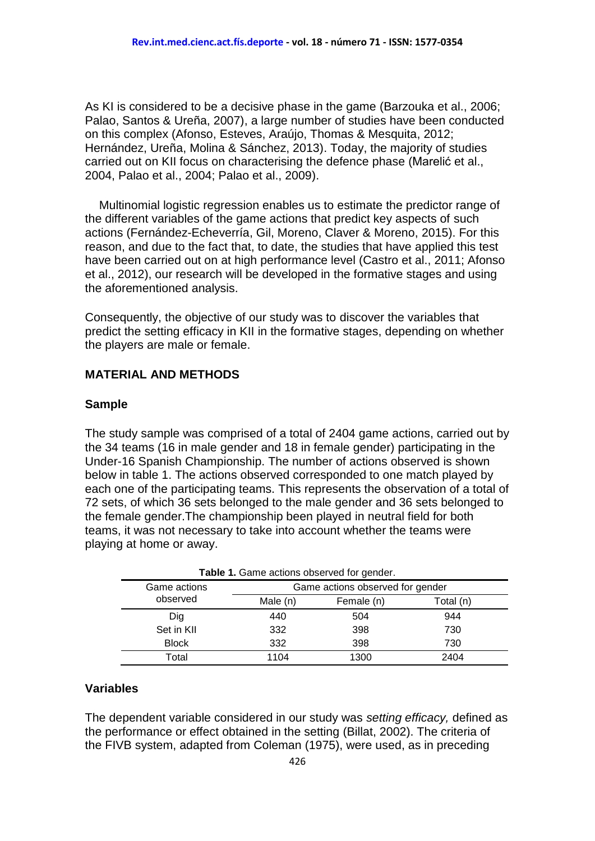As KI is considered to be a decisive phase in the game (Barzouka et al., 2006; Palao, Santos & Ureña, 2007), a large number of studies have been conducted on this complex (Afonso, Esteves, Araújo, Thomas & Mesquita, 2012; Hernández, Ureña, Molina & Sánchez, 2013). Today, the majority of studies carried out on KII focus on characterising the defence phase (Marelić et al., 2004, Palao et al., 2004; Palao et al., 2009).

Multinomial logistic regression enables us to estimate the predictor range of the different variables of the game actions that predict key aspects of such actions (Fernández-Echeverría, Gil, Moreno, Claver & Moreno, 2015). For this reason, and due to the fact that, to date, the studies that have applied this test have been carried out on at high performance level (Castro et al., 2011; Afonso et al., 2012), our research will be developed in the formative stages and using the aforementioned analysis.

Consequently, the objective of our study was to discover the variables that predict the setting efficacy in KII in the formative stages, depending on whether the players are male or female.

#### **MATERIAL AND METHODS**

#### **Sample**

The study sample was comprised of a total of 2404 game actions, carried out by the 34 teams (16 in male gender and 18 in female gender) participating in the Under-16 Spanish Championship. The number of actions observed is shown below in table 1. The actions observed corresponded to one match played by each one of the participating teams. This represents the observation of a total of 72 sets, of which 36 sets belonged to the male gender and 36 sets belonged to the female gender.The championship been played in neutral field for both teams, it was not necessary to take into account whether the teams were playing at home or away.

|              | <b>Table 1.</b> Game actions observed for gender. |            |           |  |  |  |  |  |  |
|--------------|---------------------------------------------------|------------|-----------|--|--|--|--|--|--|
| Game actions | Game actions observed for gender                  |            |           |  |  |  |  |  |  |
| observed     | Male (n)                                          | Female (n) | Total (n) |  |  |  |  |  |  |
| Dig          | 440                                               | 504        | 944       |  |  |  |  |  |  |
| Set in KII   | 332                                               | 398        | 730       |  |  |  |  |  |  |
| <b>Block</b> | 332                                               | 398        | 730       |  |  |  |  |  |  |
| Total        | 1104                                              | 1300       | 2404      |  |  |  |  |  |  |

**Table 1.** Game actions observed for gender.

#### **Variables**

The dependent variable considered in our study was *setting efficacy,* defined as the performance or effect obtained in the setting (Billat, 2002). The criteria of the FIVB system, adapted from Coleman (1975), were used, as in preceding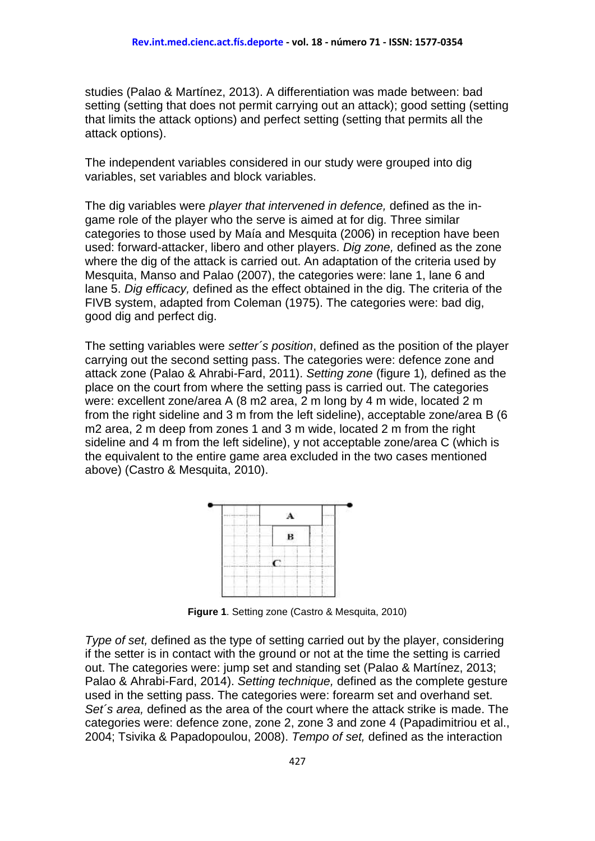studies (Palao & Martínez, 2013). A differentiation was made between: bad setting (setting that does not permit carrying out an attack); good setting (setting that limits the attack options) and perfect setting (setting that permits all the attack options).

The independent variables considered in our study were grouped into dig variables, set variables and block variables.

The dig variables were *player that intervened in defence,* defined as the ingame role of the player who the serve is aimed at for dig. Three similar categories to those used by Maía and Mesquita (2006) in reception have been used: forward-attacker, libero and other players. *Dig zone,* defined as the zone where the dig of the attack is carried out. An adaptation of the criteria used by Mesquita, Manso and Palao (2007), the categories were: lane 1, lane 6 and lane 5. *Dig efficacy,* defined as the effect obtained in the dig. The criteria of the FIVB system, adapted from Coleman (1975). The categories were: bad dig, good dig and perfect dig.

The setting variables were *setter´s position*, defined as the position of the player carrying out the second setting pass. The categories were: defence zone and attack zone (Palao & Ahrabi-Fard, 2011). *Setting zone* (figure 1)*,* defined as the place on the court from where the setting pass is carried out. The categories were: excellent zone/area A (8 m2 area, 2 m long by 4 m wide, located 2 m from the right sideline and 3 m from the left sideline), acceptable zone/area B (6 m2 area, 2 m deep from zones 1 and 3 m wide, located 2 m from the right sideline and 4 m from the left sideline), y not acceptable zone/area C (which is the equivalent to the entire game area excluded in the two cases mentioned above) (Castro & Mesquita, 2010).



**Figure 1**. Setting zone (Castro & Mesquita, 2010)

*Type of set,* defined as the type of setting carried out by the player, considering if the setter is in contact with the ground or not at the time the setting is carried out. The categories were: jump set and standing set (Palao & Martínez, 2013; Palao & Ahrabi-Fard, 2014). *Setting technique,* defined as the complete gesture used in the setting pass. The categories were: forearm set and overhand set. *Set´s area,* defined as the area of the court where the attack strike is made. The categories were: defence zone, zone 2, zone 3 and zone 4 (Papadimitriou et al., 2004; Tsivika & Papadopoulou, 2008). *Tempo of set,* defined as the interaction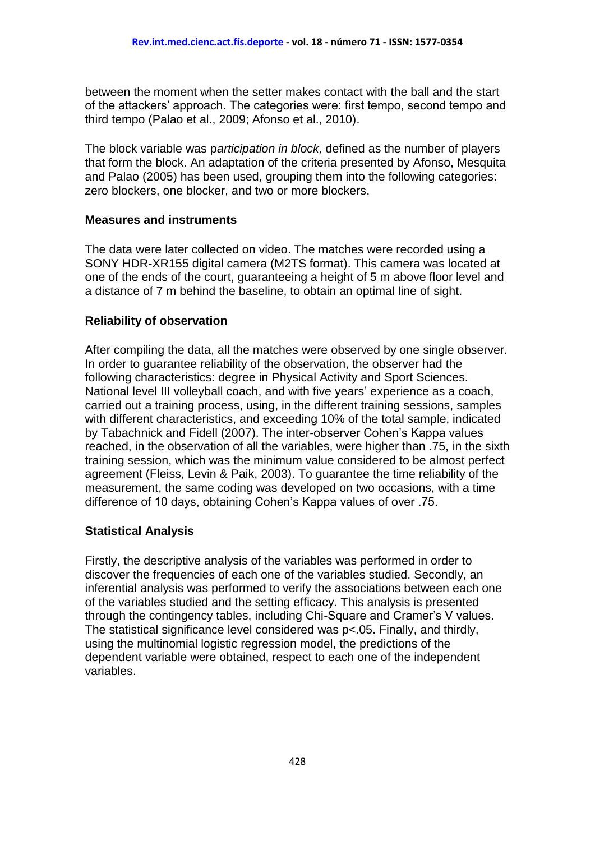between the moment when the setter makes contact with the ball and the start of the attackers' approach. The categories were: first tempo, second tempo and third tempo (Palao et al., 2009; Afonso et al., 2010).

The block variable was p*articipation in block,* defined as the number of players that form the block. An adaptation of the criteria presented by Afonso, Mesquita and Palao (2005) has been used, grouping them into the following categories: zero blockers, one blocker, and two or more blockers.

#### **Measures and instruments**

The data were later collected on video. The matches were recorded using a SONY HDR-XR155 digital camera (M2TS format). This camera was located at one of the ends of the court, guaranteeing a height of 5 m above floor level and a distance of 7 m behind the baseline, to obtain an optimal line of sight.

#### **Reliability of observation**

After compiling the data, all the matches were observed by one single observer. In order to guarantee reliability of the observation, the observer had the following characteristics: degree in Physical Activity and Sport Sciences. National level III volleyball coach, and with five years' experience as a coach, carried out a training process, using, in the different training sessions, samples with different characteristics, and exceeding 10% of the total sample, indicated by Tabachnick and Fidell (2007). The inter-observer Cohen's Kappa values reached, in the observation of all the variables, were higher than .75, in the sixth training session, which was the minimum value considered to be almost perfect agreement (Fleiss, Levin & Paik, 2003). To guarantee the time reliability of the measurement, the same coding was developed on two occasions, with a time difference of 10 days, obtaining Cohen's Kappa values of over .75.

### **Statistical Analysis**

Firstly, the descriptive analysis of the variables was performed in order to discover the frequencies of each one of the variables studied. Secondly, an inferential analysis was performed to verify the associations between each one of the variables studied and the setting efficacy. This analysis is presented through the contingency tables, including Chi-Square and Cramer's V values. The statistical significance level considered was p<.05. Finally, and thirdly, using the multinomial logistic regression model, the predictions of the dependent variable were obtained, respect to each one of the independent variables.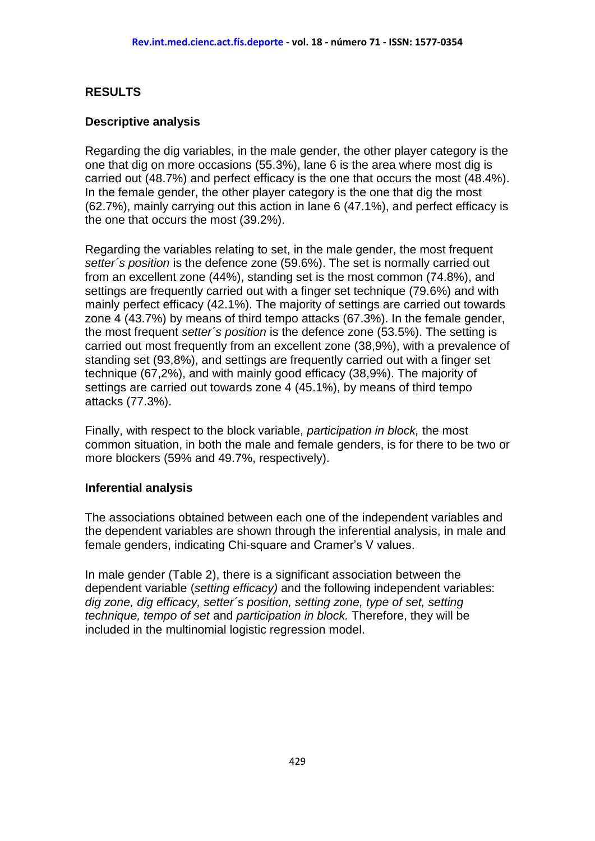## **RESULTS**

#### **Descriptive analysis**

Regarding the dig variables, in the male gender, the other player category is the one that dig on more occasions (55.3%), lane 6 is the area where most dig is carried out (48.7%) and perfect efficacy is the one that occurs the most (48.4%). In the female gender, the other player category is the one that dig the most (62.7%), mainly carrying out this action in lane 6 (47.1%), and perfect efficacy is the one that occurs the most (39.2%).

Regarding the variables relating to set, in the male gender, the most frequent *setter´s position* is the defence zone (59.6%). The set is normally carried out from an excellent zone (44%), standing set is the most common (74.8%), and settings are frequently carried out with a finger set technique (79.6%) and with mainly perfect efficacy (42.1%). The majority of settings are carried out towards zone 4 (43.7%) by means of third tempo attacks (67.3%). In the female gender, the most frequent *setter´s position* is the defence zone (53.5%). The setting is carried out most frequently from an excellent zone (38,9%), with a prevalence of standing set (93,8%), and settings are frequently carried out with a finger set technique (67,2%), and with mainly good efficacy (38,9%). The majority of settings are carried out towards zone 4 (45.1%), by means of third tempo attacks (77.3%).

Finally, with respect to the block variable, *participation in block,* the most common situation, in both the male and female genders, is for there to be two or more blockers (59% and 49.7%, respectively).

#### **Inferential analysis**

The associations obtained between each one of the independent variables and the dependent variables are shown through the inferential analysis, in male and female genders, indicating Chi-square and Cramer's V values.

In male gender (Table 2), there is a significant association between the dependent variable (*setting efficacy)* and the following independent variables: *dig zone, dig efficacy, setter´s position, setting zone, type of set, setting technique, tempo of set* and *participation in block.* Therefore, they will be included in the multinomial logistic regression model.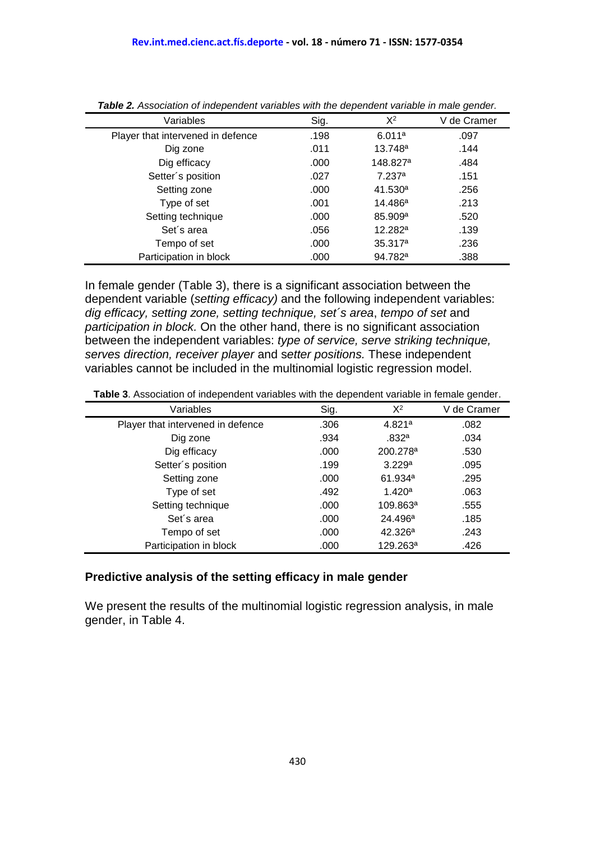|                                   |      |                      | $\check{ }$ |
|-----------------------------------|------|----------------------|-------------|
| Variables                         | Sig. | $X^2$                | V de Cramer |
| Player that intervened in defence | .198 | 6.011a               | .097        |
| Dig zone                          | .011 | 13.748 <sup>a</sup>  | .144        |
| Dig efficacy                      | .000 | 148.827 <sup>a</sup> | .484        |
| Setter's position                 | .027 | 7.237 <sup>a</sup>   | .151        |
| Setting zone                      | .000 | 41.530 <sup>a</sup>  | .256        |
| Type of set                       | .001 | 14.486 <sup>a</sup>  | .213        |
| Setting technique                 | .000 | 85.909 <sup>a</sup>  | .520        |
| Set's area                        | .056 | 12.282a              | .139        |
| Tempo of set                      | .000 | 35.317 <sup>a</sup>  | .236        |
| Participation in block            | .000 | 94.782 <sup>a</sup>  | .388        |

*Table 2. Association of independent variables with the dependent variable in male gender.*

In female gender (Table 3), there is a significant association between the dependent variable (*setting efficacy)* and the following independent variables: *dig efficacy, setting zone, setting technique, set´s area*, *tempo of set* and *participation in block.* On the other hand, there is no significant association between the independent variables: *type of service, serve striking technique, serves direction, receiver player* and s*etter positions.* These independent variables cannot be included in the multinomial logistic regression model.

|                                   |      |                      | $\tilde{}$  |
|-----------------------------------|------|----------------------|-------------|
| Variables                         | Sig. | $X^2$                | V de Cramer |
| Player that intervened in defence | .306 | 4.821a               | .082        |
| Dig zone                          | .934 | .832a                | .034        |
| Dig efficacy                      | .000 | 200.278 <sup>a</sup> | .530        |
| Setter's position                 | .199 | 3.229a               | .095        |
| Setting zone                      | .000 | 61.934 <sup>a</sup>  | .295        |
| Type of set                       | .492 | 1.420 <sup>a</sup>   | .063        |
| Setting technique                 | .000 | 109.863ª             | .555        |
| Set's area                        | .000 | 24.496 <sup>a</sup>  | .185        |
| Tempo of set                      | .000 | 42.326a              | .243        |
| Participation in block            | .000 | 129.263ª             | .426        |

**Table 3**. Association of independent variables with the dependent variable in female gender.

#### **Predictive analysis of the setting efficacy in male gender**

We present the results of the multinomial logistic regression analysis, in male gender, in Table 4.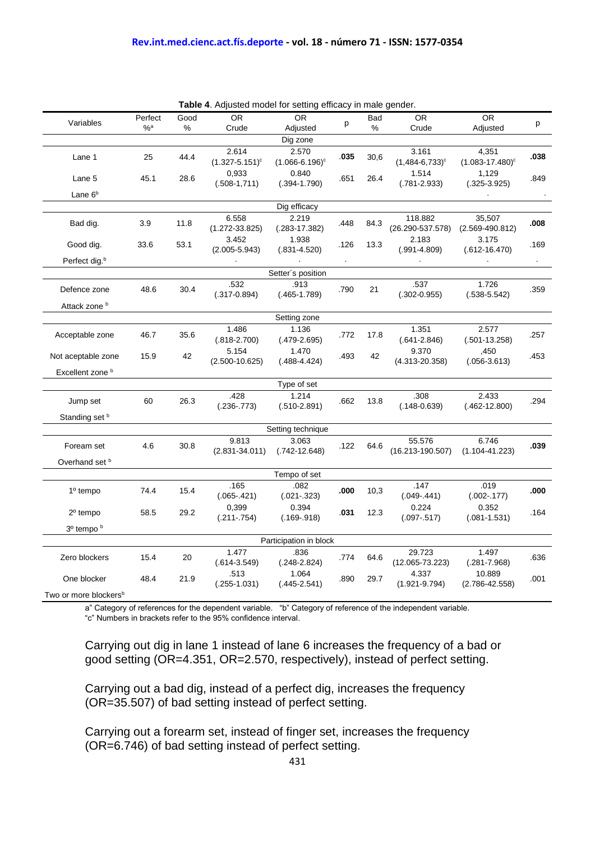| Table 4. Adjusted model for setting efficacy in male gender. |         |      |                              |                              |      |            |                                 |                                          |           |
|--------------------------------------------------------------|---------|------|------------------------------|------------------------------|------|------------|---------------------------------|------------------------------------------|-----------|
|                                                              | Perfect | Good | <b>OR</b>                    | <b>OR</b>                    |      | <b>Bad</b> | OR.                             | <b>OR</b>                                |           |
| Variables                                                    | $%$ a   | ℅    | Crude                        | Adjusted                     | p    | %          | Crude                           | Adjusted                                 | р         |
|                                                              |         |      |                              | Dig zone                     |      |            |                                 |                                          |           |
| Lane 1                                                       | 25      | 44.4 | 2.614<br>$(1.327 - 5.151)^c$ | 2.570<br>$(1.066 - 6.196)^c$ | .035 | 30,6       | 3.161<br>$(1,484-6,733)^c$      | 4,351<br>$(1.083 - 17.480)$ <sup>c</sup> | .038      |
| Lane 5                                                       | 45.1    | 28.6 | 0,933<br>$(.508-1,711)$      | 0.840<br>$(.394 - 1.790)$    | .651 | 26.4       | 1.514<br>$(.781 - 2.933)$       | 1,129<br>$(.325-3.925)$                  | .849      |
| Lane 6 <sup>b</sup>                                          |         |      |                              |                              |      |            |                                 |                                          |           |
| Dig efficacy                                                 |         |      |                              |                              |      |            |                                 |                                          |           |
| Bad dig.                                                     | 3.9     | 11.8 | 6.558<br>$(1.272 - 33.825)$  | 2.219<br>$(.283-17.382)$     | .448 | 84.3       | 118.882<br>$(26.290 - 537.578)$ | 35,507<br>$(2.569 - 490.812)$            | .008      |
| Good dig.                                                    | 33.6    | 53.1 | 3.452<br>$(2.005 - 5.943)$   | 1.938<br>$(.831 - 4.520)$    | .126 | 13.3       | 2.183<br>$(.991 - 4.809)$       | 3.175<br>$(.612 - 16.470)$               | .169      |
| Perfect dig. <sup>b</sup>                                    |         |      |                              |                              |      |            |                                 |                                          | $\bullet$ |
|                                                              |         |      |                              | Setter's position            |      |            |                                 |                                          |           |
| Defence zone                                                 | 48.6    | 30.4 | .532<br>$(.317 - 0.894)$     | .913<br>$(.465 - 1.789)$     | .790 | 21         | .537<br>$(.302 - 0.955)$        | 1.726<br>$(.538 - 5.542)$                | .359      |
| Attack zone b                                                |         |      |                              |                              |      |            |                                 |                                          |           |
|                                                              |         |      |                              | Setting zone                 |      |            |                                 |                                          |           |
| Acceptable zone                                              | 46.7    | 35.6 | 1.486<br>$(.818 - 2.700)$    | 1.136<br>$(.479-2.695)$      | .772 | 17.8       | 1.351<br>$(.641 - 2.846)$       | 2.577<br>$(.501 - 13.258)$               | .257      |
| Not aceptable zone                                           | 15.9    | 42   | 5.154<br>$(2.500 - 10.625)$  | 1.470<br>$(.488-4.424)$      | .493 | 42         | 9.370<br>$(4.313 - 20.358)$     | ,450<br>$(.056 - 3.613)$                 | .453      |
| Excellent zone <sup>b</sup>                                  |         |      |                              |                              |      |            |                                 |                                          |           |
|                                                              |         |      |                              | Type of set                  |      |            |                                 |                                          |           |
| Jump set                                                     | 60      | 26.3 | .428<br>$(.236-.773)$        | 1.214<br>$(.510-2.891)$      | .662 | 13.8       | .308<br>$(.148 - 0.639)$        | 2.433<br>$(.462-12.800)$                 | .294      |
| Standing set b                                               |         |      |                              |                              |      |            |                                 |                                          |           |
|                                                              |         |      |                              | Setting technique            |      |            |                                 |                                          |           |
| Foream set                                                   | 4.6     | 30.8 | 9.813<br>$(2.831 - 34.011)$  | 3.063<br>$(.742-12.648)$     | .122 | 64.6       | 55.576<br>$(16.213 - 190.507)$  | 6.746<br>$(1.104 - 41.223)$              | .039      |
| Overhand set b                                               |         |      |                              |                              |      |            |                                 |                                          |           |
|                                                              |         |      |                              | Tempo of set                 |      |            |                                 |                                          |           |
| $1o$ tempo                                                   | 74.4    | 15.4 | .165<br>$(.065-.421)$        | .082<br>$(.021-.323)$        | .000 | 10,3       | .147<br>$(.049-.441)$           | .019<br>$(.002-.177)$                    | .000      |
| $2o$ tempo                                                   | 58.5    | 29.2 | 0.399<br>$(.211-.754)$       | 0.394<br>$(.169-.918)$       | .031 | 12.3       | 0.224<br>$(.097-.517)$          | 0.352<br>$(.081 - 1.531)$                | .164      |
| 3 <sup>0</sup> tempo b                                       |         |      |                              |                              |      |            |                                 |                                          |           |
|                                                              |         |      |                              | Participation in block       |      |            |                                 |                                          |           |
| Zero blockers                                                | 15.4    | 20   | 1.477<br>$(.614 - 3.549)$    | .836<br>$(.248 - 2.824)$     | .774 | 64.6       | 29.723<br>$(12.065 - 73.223)$   | 1.497<br>$(.281 - 7.968)$                | .636      |
| One blocker                                                  | 48.4    | 21.9 | .513<br>$(.255 - 1.031)$     | 1.064<br>$(.445-2.541)$      | .890 | 29.7       | 4.337<br>$(1.921 - 9.794)$      | 10.889<br>$(2.786 - 42.558)$             | .001      |
| Two or more blockers <sup>b</sup>                            |         |      |                              |                              |      |            |                                 |                                          |           |

a" Category of references for the dependent variable. "b" Category of reference of the independent variable.

"c" Numbers in brackets refer to the 95% confidence interval.

Carrying out dig in lane 1 instead of lane 6 increases the frequency of a bad or good setting (OR=4.351, OR=2.570, respectively), instead of perfect setting.

Carrying out a bad dig, instead of a perfect dig, increases the frequency (OR=35.507) of bad setting instead of perfect setting.

Carrying out a forearm set, instead of finger set, increases the frequency (OR=6.746) of bad setting instead of perfect setting.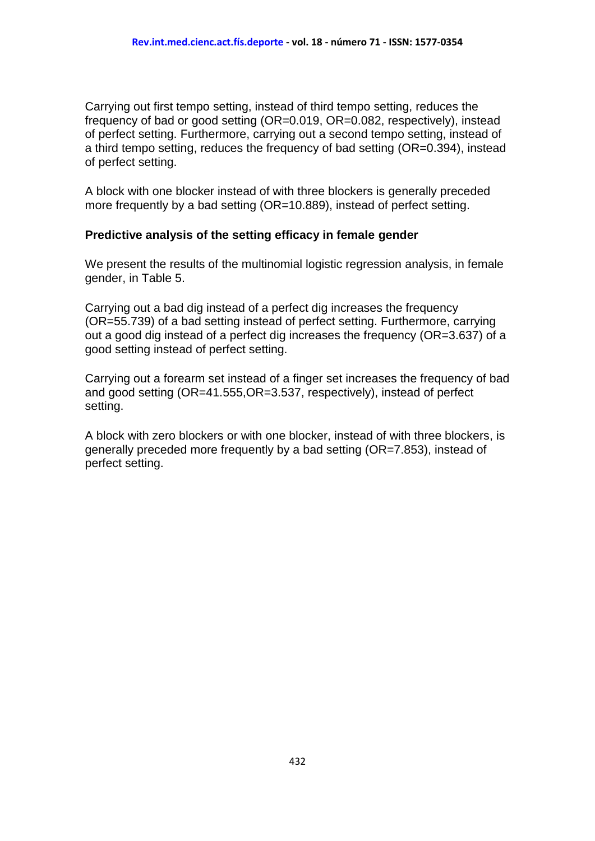Carrying out first tempo setting, instead of third tempo setting, reduces the frequency of bad or good setting (OR=0.019, OR=0.082, respectively), instead of perfect setting. Furthermore, carrying out a second tempo setting, instead of a third tempo setting, reduces the frequency of bad setting (OR=0.394), instead of perfect setting.

A block with one blocker instead of with three blockers is generally preceded more frequently by a bad setting (OR=10.889), instead of perfect setting.

#### **Predictive analysis of the setting efficacy in female gender**

We present the results of the multinomial logistic regression analysis, in female gender, in Table 5.

Carrying out a bad dig instead of a perfect dig increases the frequency (OR=55.739) of a bad setting instead of perfect setting. Furthermore, carrying out a good dig instead of a perfect dig increases the frequency (OR=3.637) of a good setting instead of perfect setting.

Carrying out a forearm set instead of a finger set increases the frequency of bad and good setting (OR=41.555,OR=3.537, respectively), instead of perfect setting.

A block with zero blockers or with one blocker, instead of with three blockers, is generally preceded more frequently by a bad setting (OR=7.853), instead of perfect setting.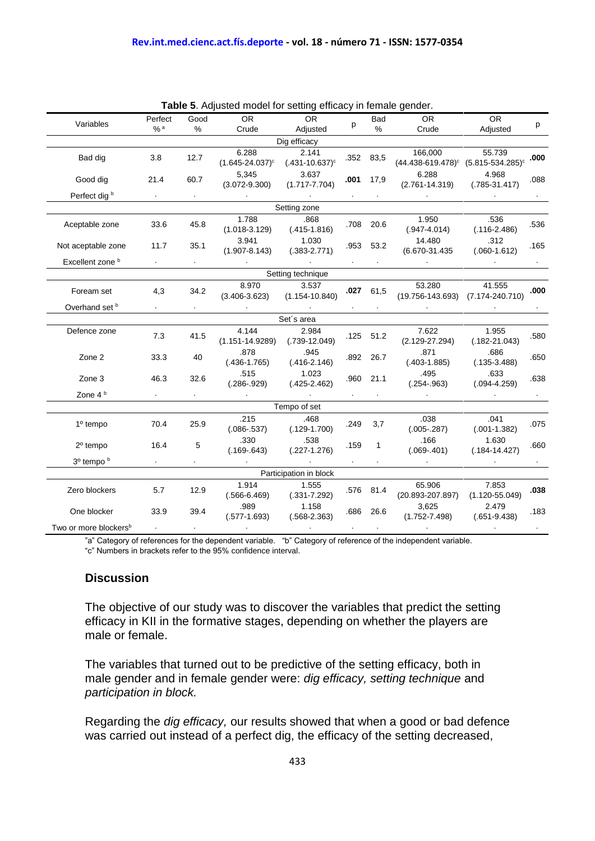|                                   |                               |                              | <b>Table 5.</b> Adjusted model for setting emicacy in female gender. |                        |           |                |                                          |                    |        |      |
|-----------------------------------|-------------------------------|------------------------------|----------------------------------------------------------------------|------------------------|-----------|----------------|------------------------------------------|--------------------|--------|------|
| Variables                         | Perfect                       | Good                         | OR.                                                                  | <b>OR</b>              |           | <b>Bad</b>     | <b>OR</b>                                | <b>OR</b>          | p      |      |
|                                   | $%$ a                         | %                            | Crude                                                                | Adjusted               | p         | $\%$           | Crude                                    | Adjusted           |        |      |
|                                   | Dig efficacy                  |                              |                                                                      |                        |           |                |                                          |                    |        |      |
| Bad dig                           | 3.8                           | 12.7                         | 6.288                                                                | 2.141                  |           |                | 166,000                                  | 55.739             |        |      |
|                                   |                               |                              | $(1.645 - 24.037)^c$                                                 | $(.431 - 10.637)^c$    | .352 83,5 |                | $(44.438-619.478)^c$ $(5.815-534.285)^c$ |                    | .000   |      |
| Good dig                          | 21.4                          | 60.7                         | 5,345                                                                | 3.637                  | .001      | 17,9           | 6.288                                    | 4.968              | .088   |      |
|                                   |                               |                              | $(3.072 - 9.300)$                                                    | $(1.717 - 7.704)$      |           |                | $(2.761 - 14.319)$                       | $(.785-31.417)$    |        |      |
| Perfect dig <sup>b</sup>          |                               |                              |                                                                      |                        |           |                |                                          |                    |        |      |
|                                   |                               |                              |                                                                      | Setting zone           |           |                |                                          |                    |        |      |
| Aceptable zone                    | 33.6                          | 45.8                         | 1.788                                                                | .868                   |           | .708 20.6      | 1.950                                    | .536               | .536   |      |
|                                   |                               |                              | $(1.018-3.129)$ $(.415-1.816)$                                       |                        |           |                | $(.947 - 4.014)$                         | $(.116-2.486)$     |        |      |
| Not aceptable zone                | 11.7                          | 35.1                         | 3.941                                                                | 1.030                  |           | .953 53.2      | 14.480                                   | .312               | .165   |      |
|                                   |                               |                              | $(1.907 - 8.143)$                                                    | $(.383 - 2.771)$       |           |                | $(6.670 - 31.435)$                       | $(.060-1.612)$     |        |      |
| Excellent zone <sup>b</sup>       | $\mathcal{A}^{\mathcal{A}}$ . | $\mathbf{A} \in \mathcal{A}$ | <b>Contractor</b>                                                    | $\sim$                 |           |                | $\sim$                                   |                    | $\sim$ |      |
|                                   |                               |                              |                                                                      | Setting technique      |           |                |                                          |                    |        |      |
| Foream set                        | 4,3                           | 34.2                         | 8.970                                                                | 3.537                  |           | $.027$ 61,5    | 53.280                                   | 41.555             | .000   |      |
|                                   |                               |                              | $(3.406 - 3.623)$                                                    | $(1.154 - 10.840)$     |           |                | (19.756-143.693) (7.174-240.710)         |                    |        |      |
| Overhand set b                    | $\mathbf{r}$ .                | $\sim$                       |                                                                      | $\sim$                 |           |                |                                          |                    |        |      |
| Set's area                        |                               |                              |                                                                      |                        |           |                |                                          |                    |        |      |
| Defence zone                      | 7.3                           | 41.5                         | 4.144                                                                | 2.984                  |           | $.125$ $.51.2$ | 7.622                                    | 1.955              | .580   |      |
|                                   |                               |                              | $(1.151 - 14.9289)$ $(.739 - 12.049)$                                |                        |           |                | $(2.129 - 27.294)$                       | $(.182-21.043)$    |        |      |
| Zone 2                            | 33.3                          | 40                           | .878                                                                 | .945                   |           | .892 26.7      | .871                                     | .686               | .650   |      |
|                                   |                               |                              | $(.436-1.765)$                                                       | $(.416-2.146)$         |           |                | $(.403-1.885)$                           | $(.135-3.488)$     |        |      |
| Zone 3                            | 46.3                          | 32.6                         | .515                                                                 | 1.023                  |           |                | .960 21.1                                | .495               | .633   | .638 |
|                                   |                               |                              | $(.286-.929)$                                                        | $(.425-2.462)$         |           |                | $(.254-.963)$                            | $(.094 - 4.259)$   |        |      |
| Zone $4b$                         |                               |                              |                                                                      |                        |           |                |                                          |                    |        |      |
|                                   |                               |                              |                                                                      | Tempo of set           |           |                |                                          |                    |        |      |
| 1º tempo                          | 70.4                          | 25.9                         | .215                                                                 | .468                   | .249      | 3,7            | .038                                     | .041               | .075   |      |
|                                   |                               |                              | $(.086-.537)$                                                        | $(.129-1.700)$         |           |                | $(.005-.287)$                            | $(.001-1.382)$     |        |      |
| $2o$ tempo                        | 16.4                          | 5                            | .330                                                                 | .538                   | .159      | $\mathbf{1}$   | .166                                     | 1.630              | .660   |      |
|                                   |                               |                              | $(.169 - 643)$                                                       | $(.227-1.276)$         |           |                | $(.069-.401)$                            | $(.184 - 14.427)$  |        |      |
| 3 <sup>0</sup> tempo b            | $\sim$                        | $\bullet$                    |                                                                      |                        | $\sim$    |                |                                          |                    |        |      |
|                                   |                               |                              |                                                                      | Participation in block |           |                |                                          |                    |        |      |
| Zero blockers                     | 5.7                           | 12.9                         | 1.914                                                                | 1.555                  |           | .576 81.4      | 65.906                                   | 7.853              | .038   |      |
|                                   |                               |                              | $(.566-6.469)$                                                       | $(.331 - 7.292)$       |           |                | $(20.893 - 207.897)$                     | $(1.120 - 55.049)$ |        |      |
| One blocker                       | 33.9                          | 39.4                         | .989                                                                 | 1.158                  | .686 26.6 |                |                                          | 3,625              | 2.479  | .183 |
|                                   |                               |                              | $(.577 - 1.693)$                                                     | $(.568 - 2.363)$       |           |                | $(1.752 - 7.498)$                        | $(.651-9.438)$     |        |      |
| Two or more blockers <sup>b</sup> |                               |                              |                                                                      |                        |           |                |                                          |                    |        |      |

|  |  |  | Table 5. Adjusted model for setting efficacy in female gender. |  |  |
|--|--|--|----------------------------------------------------------------|--|--|
|  |  |  |                                                                |  |  |

"a" Category of references for the dependent variable. "b" Category of reference of the independent variable.

"c" Numbers in brackets refer to the 95% confidence interval.

#### **Discussion**

The objective of our study was to discover the variables that predict the setting efficacy in KII in the formative stages, depending on whether the players are male or female.

The variables that turned out to be predictive of the setting efficacy, both in male gender and in female gender were: *dig efficacy, setting technique* and *participation in block.*

Regarding the *dig efficacy,* our results showed that when a good or bad defence was carried out instead of a perfect dig, the efficacy of the setting decreased,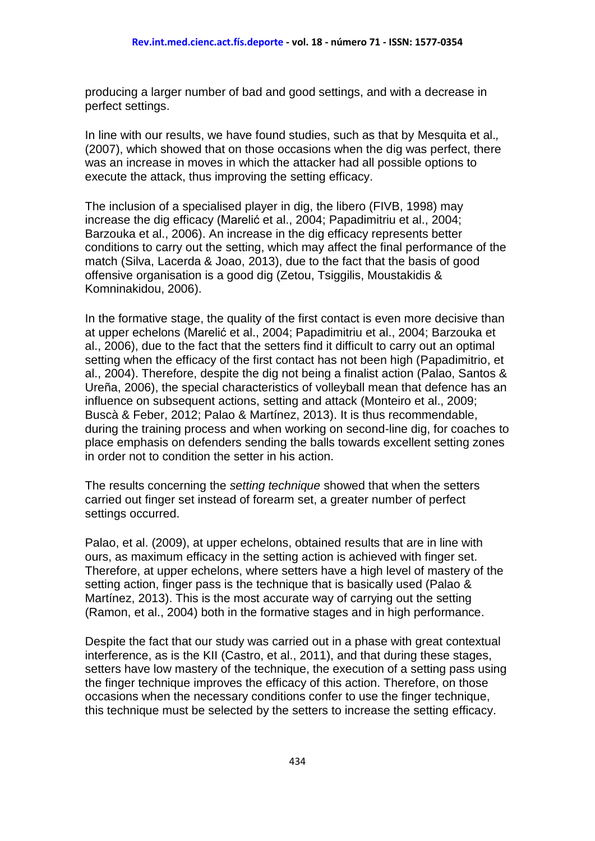producing a larger number of bad and good settings, and with a decrease in perfect settings.

In line with our results, we have found studies, such as that by Mesquita et al.*,* (2007), which showed that on those occasions when the dig was perfect, there was an increase in moves in which the attacker had all possible options to execute the attack, thus improving the setting efficacy.

The inclusion of a specialised player in dig, the libero (FIVB, 1998) may increase the dig efficacy (Marelić et al., 2004; Papadimitriu et al., 2004; Barzouka et al., 2006). An increase in the dig efficacy represents better conditions to carry out the setting, which may affect the final performance of the match (Silva, Lacerda & Joao, 2013), due to the fact that the basis of good offensive organisation is a good dig (Zetou, Tsiggilis, Moustakidis & Komninakidou, 2006).

In the formative stage, the quality of the first contact is even more decisive than at upper echelons (Marelić et al., 2004; Papadimitriu et al., 2004; Barzouka et al., 2006), due to the fact that the setters find it difficult to carry out an optimal setting when the efficacy of the first contact has not been high (Papadimitrio, et al., 2004). Therefore, despite the dig not being a finalist action (Palao, Santos & Ureña, 2006), the special characteristics of volleyball mean that defence has an influence on subsequent actions, setting and attack (Monteiro et al., 2009; Buscà & Feber, 2012; Palao & Martínez, 2013). It is thus recommendable, during the training process and when working on second-line dig, for coaches to place emphasis on defenders sending the balls towards excellent setting zones in order not to condition the setter in his action.

The results concerning the *setting technique* showed that when the setters carried out finger set instead of forearm set, a greater number of perfect settings occurred.

Palao, et al. (2009), at upper echelons, obtained results that are in line with ours, as maximum efficacy in the setting action is achieved with finger set. Therefore, at upper echelons, where setters have a high level of mastery of the setting action, finger pass is the technique that is basically used (Palao & Martínez, 2013). This is the most accurate way of carrying out the setting (Ramon, et al., 2004) both in the formative stages and in high performance.

Despite the fact that our study was carried out in a phase with great contextual interference, as is the KII (Castro, et al., 2011), and that during these stages, setters have low mastery of the technique, the execution of a setting pass using the finger technique improves the efficacy of this action. Therefore, on those occasions when the necessary conditions confer to use the finger technique, this technique must be selected by the setters to increase the setting efficacy.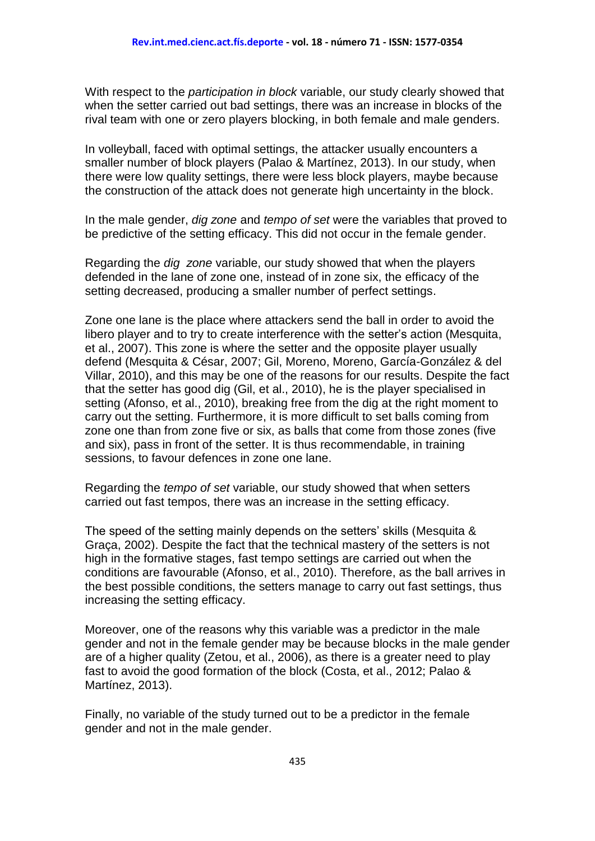With respect to the *participation in block* variable, our study clearly showed that when the setter carried out bad settings, there was an increase in blocks of the rival team with one or zero players blocking, in both female and male genders.

In volleyball, faced with optimal settings, the attacker usually encounters a smaller number of block players (Palao & Martínez, 2013). In our study, when there were low quality settings, there were less block players, maybe because the construction of the attack does not generate high uncertainty in the block.

In the male gender, *dig zone* and *tempo of set* were the variables that proved to be predictive of the setting efficacy. This did not occur in the female gender.

Regarding the *dig zone* variable, our study showed that when the players defended in the lane of zone one, instead of in zone six, the efficacy of the setting decreased, producing a smaller number of perfect settings.

Zone one lane is the place where attackers send the ball in order to avoid the libero player and to try to create interference with the setter's action (Mesquita, et al., 2007). This zone is where the setter and the opposite player usually defend (Mesquita & César, 2007; Gil, Moreno, Moreno, García-González & del Villar, 2010), and this may be one of the reasons for our results. Despite the fact that the setter has good dig (Gil, et al., 2010), he is the player specialised in setting (Afonso, et al., 2010), breaking free from the dig at the right moment to carry out the setting. Furthermore, it is more difficult to set balls coming from zone one than from zone five or six, as balls that come from those zones (five and six), pass in front of the setter. It is thus recommendable, in training sessions, to favour defences in zone one lane.

Regarding the *tempo of set* variable, our study showed that when setters carried out fast tempos, there was an increase in the setting efficacy.

The speed of the setting mainly depends on the setters' skills (Mesquita & Graça, 2002). Despite the fact that the technical mastery of the setters is not high in the formative stages, fast tempo settings are carried out when the conditions are favourable (Afonso, et al., 2010). Therefore, as the ball arrives in the best possible conditions, the setters manage to carry out fast settings, thus increasing the setting efficacy.

Moreover, one of the reasons why this variable was a predictor in the male gender and not in the female gender may be because blocks in the male gender are of a higher quality (Zetou, et al., 2006), as there is a greater need to play fast to avoid the good formation of the block (Costa, et al., 2012; Palao & Martínez, 2013).

Finally, no variable of the study turned out to be a predictor in the female gender and not in the male gender.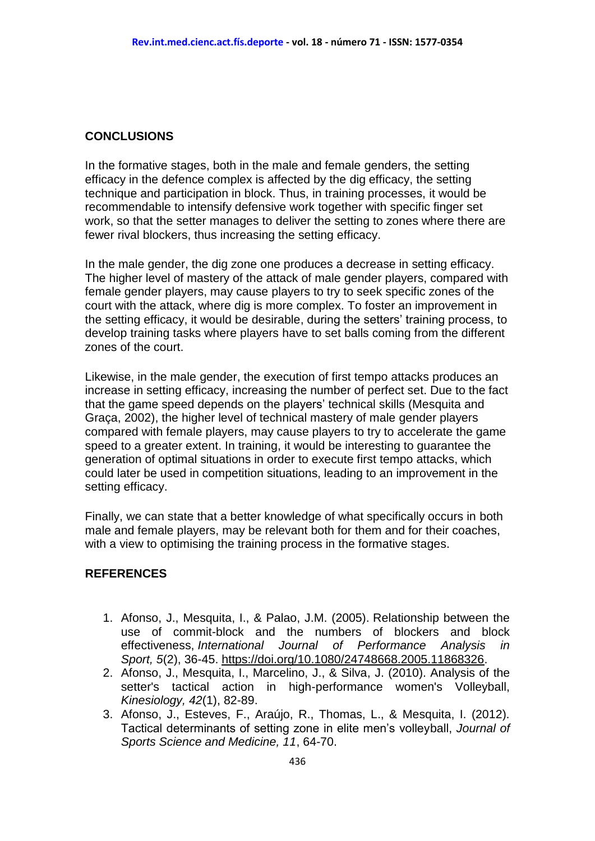#### **CONCLUSIONS**

In the formative stages, both in the male and female genders, the setting efficacy in the defence complex is affected by the dig efficacy, the setting technique and participation in block. Thus, in training processes, it would be recommendable to intensify defensive work together with specific finger set work, so that the setter manages to deliver the setting to zones where there are fewer rival blockers, thus increasing the setting efficacy.

In the male gender, the dig zone one produces a decrease in setting efficacy. The higher level of mastery of the attack of male gender players, compared with female gender players, may cause players to try to seek specific zones of the court with the attack, where dig is more complex. To foster an improvement in the setting efficacy, it would be desirable, during the setters' training process, to develop training tasks where players have to set balls coming from the different zones of the court.

Likewise, in the male gender, the execution of first tempo attacks produces an increase in setting efficacy, increasing the number of perfect set. Due to the fact that the game speed depends on the players' technical skills (Mesquita and Graça, 2002), the higher level of technical mastery of male gender players compared with female players, may cause players to try to accelerate the game speed to a greater extent. In training, it would be interesting to guarantee the generation of optimal situations in order to execute first tempo attacks, which could later be used in competition situations, leading to an improvement in the setting efficacy.

Finally, we can state that a better knowledge of what specifically occurs in both male and female players, may be relevant both for them and for their coaches, with a view to optimising the training process in the formative stages.

#### **REFERENCES**

- 1. Afonso, J., Mesquita, I., & Palao, J.M. (2005). Relationship between the use of commit-block and the numbers of blockers and block effectiveness, *International Journal of Performance Analysis in Sport, 5*(2), 36-45. [https://doi.org/10.1080/24748668.2005.11868326.](https://doi.org/10.1080/24748668.2005.11868326)
- 2. Afonso, J., Mesquita, I., Marcelino, J., & Silva, J. (2010). Analysis of the setter's tactical action in high-performance women's Volleyball, *Kinesiology, 42*(1), 82-89.
- 3. Afonso, J., Esteves, F., Araújo, R., Thomas, L., & Mesquita, I. (2012). Tactical determinants of setting zone in elite men's volleyball, *Journal of Sports Science and Medicine, 11*, 64-70.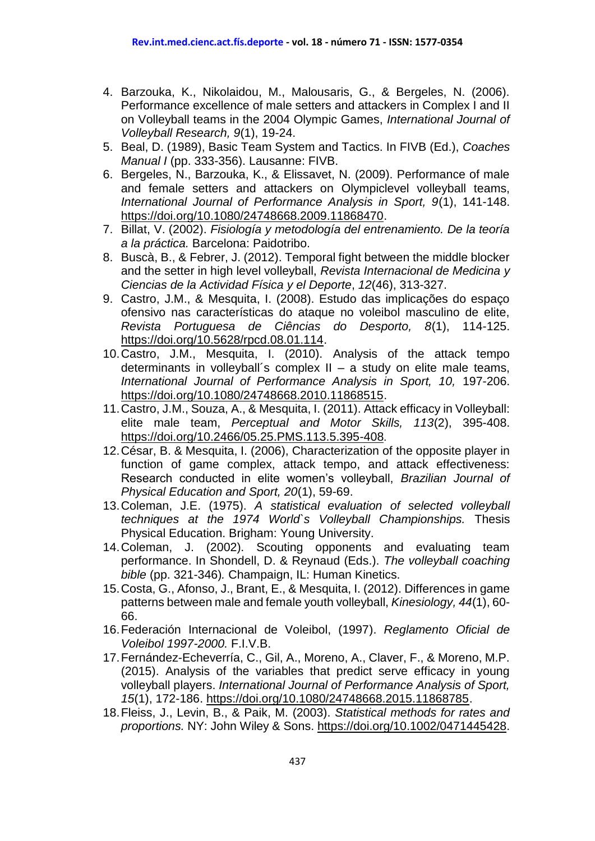- 4. Barzouka, K., Nikolaidou, M., Malousaris, G., & Bergeles, N. (2006). Performance excellence of male setters and attackers in Complex I and II on Volleyball teams in the 2004 Olympic Games, *International Journal of Volleyball Research, 9*(1), 19-24.
- 5. Beal, D. (1989), Basic Team System and Tactics. In FIVB (Ed.), *Coaches Manual I* (pp. 333-356). Lausanne: FIVB.
- 6. Bergeles, N., Barzouka, K., & Elissavet, N. (2009). Performance of male and female setters and attackers on Olympiclevel volleyball teams, *International Journal of Performance Analysis in Sport, 9*(1), 141-148. [https://doi.org/10.1080/24748668.2009.11868470.](https://doi.org/10.1080/24748668.2009.11868470)
- 7. Billat, V. (2002). *Fisiología y metodología del entrenamiento. De la teoría a la práctica.* Barcelona: Paidotribo.
- 8. Buscà, B., & Febrer, J. (2012). Temporal fight between the middle blocker and the setter in high level volleyball, *Revista Internacional de Medicina y Ciencias de la Actividad Física y el Deporte*, *12*(46), 313-327.
- 9. Castro, J.M., & Mesquita, I. (2008). Estudo das implicações do espaço ofensivo nas características do ataque no voleibol masculino de elite, *Revista Portuguesa de Ciências do Desporto, 8*(1), 114-125. [https://doi.org/10.5628/rpcd.08.01.114.](https://doi.org/10.5628/rpcd.08.01.114)
- 10.Castro, J.M., Mesquita, I. (2010). Analysis of the attack tempo determinants in vollevball's complex  $II - a$  study on elite male teams, *International Journal of Performance Analysis in Sport, 10,* 197-206. [https://doi.org/10.1080/24748668.2010.11868515.](https://doi.org/10.1080/24748668.2010.11868515)
- 11.Castro, J.M., Souza, A., & Mesquita, I. (2011). Attack efficacy in Volleyball: elite male team, *Perceptual and Motor Skills, 113*(2), 395-408. <https://doi.org/10.2466/05.25.PMS.113.5.395-408>.
- 12.César, B. & Mesquita, I. (2006), Characterization of the opposite player in function of game complex, attack tempo, and attack effectiveness: Research conducted in elite women's volleyball, *Brazilian Journal of Physical Education and Sport, 20*(1), 59-69.
- 13.Coleman, J.E. (1975). *A statistical evaluation of selected volleyball techniques at the 1974 World`s Volleyball Championships.* Thesis Physical Education. Brigham: Young University.
- 14.Coleman, J. (2002). Scouting opponents and evaluating team performance. In Shondell, D. & Reynaud (Eds.). *The volleyball coaching bible* (pp. 321-346)*.* Champaign, IL: Human Kinetics.
- 15.Costa, G., Afonso, J., Brant, E., & Mesquita, I. (2012). Differences in game patterns between male and female youth volleyball, *Kinesiology, 44*(1), 60- 66.
- 16.Federación Internacional de Voleibol, (1997). *Reglamento Oficial de Voleibol 1997-2000.* F.I.V.B.
- 17.Fernández-Echeverría, C., Gil, A., Moreno, A., Claver, F., & Moreno, M.P. (2015). [Analysis of the variables that predict serve efficacy in young](http://www.ingentaconnect.com/content/uwic/ujpa/2015/00000015/00000001/art00014)  [volleyball players.](http://www.ingentaconnect.com/content/uwic/ujpa/2015/00000015/00000001/art00014) *International Journal of Performance Analysis of Sport, 15*(1), 172-186. [https://doi.org/10.1080/24748668.2015.11868785.](https://doi.org/10.1080/24748668.2015.11868785)
- 18.Fleiss, J., Levin, B., & Paik, M. (2003). *Statistical methods for rates and proportions.* NY: John Wiley & Sons. [https://doi.org/10.1002/0471445428.](https://doi.org/10.1002/0471445428)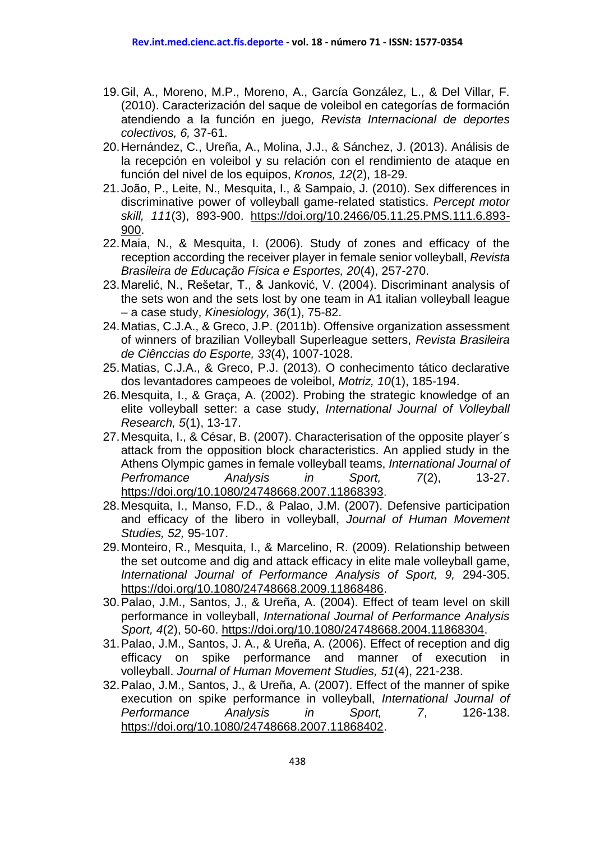- 19.Gil, A., Moreno, M.P., Moreno, A., García González, L., & Del Villar, F. (2010). Caracterización del saque de voleibol en categorías de formación atendiendo a la función en juego*, Revista Internacional de deportes colectivos, 6,* 37-61.
- 20.Hernández, C., Ureña, A., Molina, J.J., & Sánchez, J. (2013). Análisis de la recepción en voleibol y su relación con el rendimiento de ataque en función del nivel de los equipos, *Kronos, 12*(2), 18-29.
- 21.João, P., Leite, N., Mesquita, I., & Sampaio, J. (2010). Sex differences in discriminative power of volleyball game-related statistics. *Percept motor skill, 111*(3), 893-900. [https://doi.org/10.2466/05.11.25.PMS.111.6.893-](https://doi.org/10.2466/05.11.25.PMS.111.6.893-900) [900.](https://doi.org/10.2466/05.11.25.PMS.111.6.893-900)
- 22.Maia, N., & Mesquita, I. (2006). Study of zones and efficacy of the reception according the receiver player in female senior volleyball, *Revista Brasileira de Educação Física e Esportes, 20*(4), 257-270.
- 23.Marelić, N., Rešetar, T., & Janković, V. (2004). Discriminant analysis of the sets won and the sets lost by one team in A1 italian volleyball league – a case study, *Kinesiology, 36*(1), 75-82.
- 24.Matias, C.J.A., & Greco, J.P. (2011b). Offensive organization assessment of winners of brazilian Volleyball Superleague setters, *Revista Brasileira de Ciênccias do Esporte, 33*(4), 1007-1028.
- 25.Matias, C.J.A., & Greco, P.J. (2013). O conhecimento tático declarative dos levantadores campeoes de voleibol, *Motriz, 10*(1), 185-194.
- 26.Mesquita, I., & Graça, A. (2002). Probing the strategic knowledge of an elite volleyball setter: a case study, *International Journal of Volleyball Research, 5*(1), 13-17.
- 27.Mesquita, I., & César, B. (2007). Characterisation of the opposite player´s attack from the opposition block characteristics. An applied study in the Athens Olympic games in female volleyball teams, *International Journal of Perfromance Analysis in Sport, 7*(2), 13-27. <https://doi.org/10.1080/24748668.2007.11868393>.
- 28.Mesquita, I., Manso, F.D., & Palao, J.M. (2007). Defensive participation and efficacy of the libero in volleyball, *Journal of Human Movement Studies, 52,* 95-107.
- 29.Monteiro, R., Mesquita, I., & Marcelino, R. (2009). Relationship between the set outcome and dig and attack efficacy in elite male volleyball game, *International Journal of Performance Analysis of Sport, 9,* 294-305. [https://doi.org/10.1080/24748668.2009.11868486.](https://doi.org/10.1080/24748668.2009.11868486)
- 30.Palao, J.M., Santos, J., & Ureña, A. (2004). Effect of team level on skill performance in volleyball, *International Journal of Performance Analysis Sport, 4*(2), 50-60. [https://doi.org/10.1080/24748668.2004.11868304.](https://doi.org/10.1080/24748668.2004.11868304)
- 31.Palao, J.M., Santos, J. A., & Ureña, A. (2006). Effect of reception and dig efficacy on spike performance and manner of execution in volleyball. *Journal of Human Movement Studies, 51*(4), 221-238.
- 32.Palao, J.M., Santos, J., & Ureña, A. (2007). Effect of the manner of spike execution on spike performance in volleyball, *International Journal of Performance Analysis in Sport, 7*, 126-138. [https://doi.org/10.1080/24748668.2007.11868402.](https://doi.org/10.1080/24748668.2007.11868402)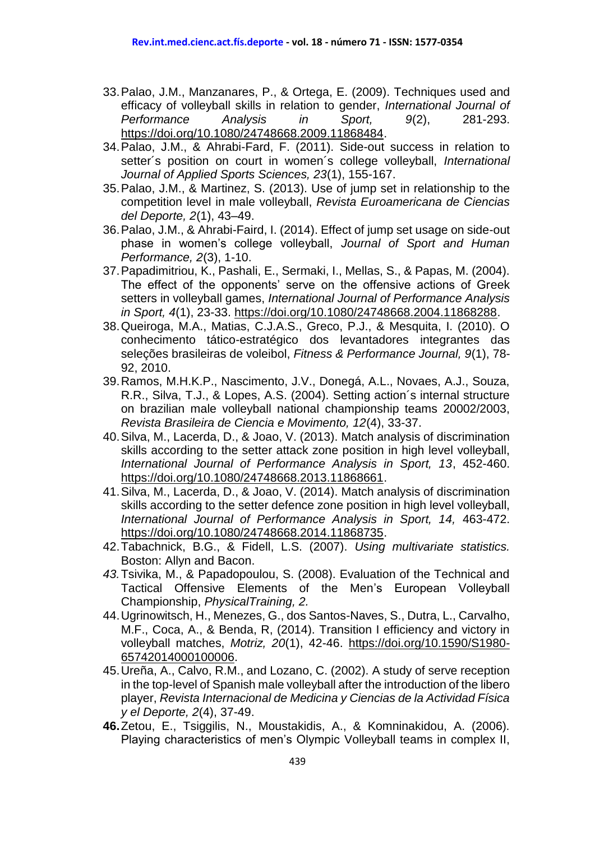- 33.Palao, J.M., Manzanares, P., & Ortega, E. (2009). Techniques used and efficacy of volleyball skills in relation to gender, *International Journal of Performance Analysis in Sport, 9*(2), 281-293. [https://doi.org/10.1080/24748668.2009.11868484.](https://doi.org/10.1080/24748668.2009.11868484)
- 34.Palao, J.M., & Ahrabi-Fard, F. (2011). Side-out success in relation to setter´s position on court in women´s college volleyball, *International Journal of Applied Sports Sciences, 23*(1), 155-167.
- 35.Palao, J.M., & Martinez, S. (2013). Use of jump set in relationship to the competition level in male volleyball, *Revista Euroamericana de Ciencias del Deporte, 2*(1), 43–49.
- 36.Palao, J.M., & Ahrabi-Faird, I. (2014). Effect of jump set usage on side-out phase in women's college volleyball, *Journal of Sport and Human Performance, 2*(3), 1-10.
- 37.Papadimitriou, K., Pashali, E., Sermaki, I., Mellas, S., & Papas, M. (2004). The effect of the opponents' serve on the offensive actions of Greek setters in volleyball games, *International Journal of Performance Analysis in Sport, 4*(1), 23-33. [https://doi.org/10.1080/24748668.2004.11868288.](https://doi.org/10.1080/24748668.2004.11868288)
- 38.Queiroga, M.A., Matias, C.J.A.S., Greco, P.J., & Mesquita, I. (2010). O conhecimento tático-estratégico dos levantadores integrantes das seleções brasileiras de voleibol, *Fitness & Performance Journal, 9*(1), 78- 92, 2010.
- 39.Ramos, M.H.K.P., Nascimento, J.V., Donegá, A.L., Novaes, A.J., Souza, R.R., Silva, T.J., & Lopes, A.S. (2004). Setting action´s internal structure on brazilian male volleyball national championship teams 20002/2003, *Revista Brasileira de Ciencia e Movimento, 12*(4), 33-37.
- 40.Silva, M., Lacerda, D., & Joao, V. (2013). Match analysis of discrimination skills according to the setter attack zone position in high level volleyball, *International Journal of Performance Analysis in Sport, 13*, 452-460. [https://doi.org/10.1080/24748668.2013.11868661.](https://doi.org/10.1080/24748668.2013.11868661)
- 41.Silva, M., Lacerda, D., & Joao, V. (2014). Match analysis of discrimination skills according to the setter defence zone position in high level volleyball, *International Journal of Performance Analysis in Sport, 14,* 463-472. [https://doi.org/10.1080/24748668.2014.11868735.](https://doi.org/10.1080/24748668.2014.11868735)
- 42.Tabachnick, B.G., & Fidell, L.S. (2007). *Using multivariate statistics.* Boston: Allyn and Bacon.
- *43.*Tsivika, M., & Papadopoulou, S. (2008). Evaluation of the Technical and Tactical Offensive Elements of the Men's European Volleyball Championship, *PhysicalTraining, 2.*
- 44.Ugrinowitsch, H., Menezes, G., dos Santos-Naves, S., Dutra, L., Carvalho, M.F., Coca, A., & Benda, R, (2014). Transition I efficiency and victory in volleyball matches, *Motriz, 20*(1), 42-46. [https://doi.org/10.1590/S1980-](https://doi.org/10.1590/S1980-65742014000100006) [65742014000100006.](https://doi.org/10.1590/S1980-65742014000100006)
- 45.Ureña, A., Calvo, R.M., and Lozano, C. (2002). A study of serve reception in the top-level of Spanish male volleyball after the introduction of the libero player, *Revista Internacional de Medicina y Ciencias de la Actividad Física y el Deporte, 2*(4), 37-49.
- **46.**Zetou, E., Tsiggilis, N., Moustakidis, A., & Komninakidou, A. (2006). Playing characteristics of men's Olympic Volleyball teams in complex II,